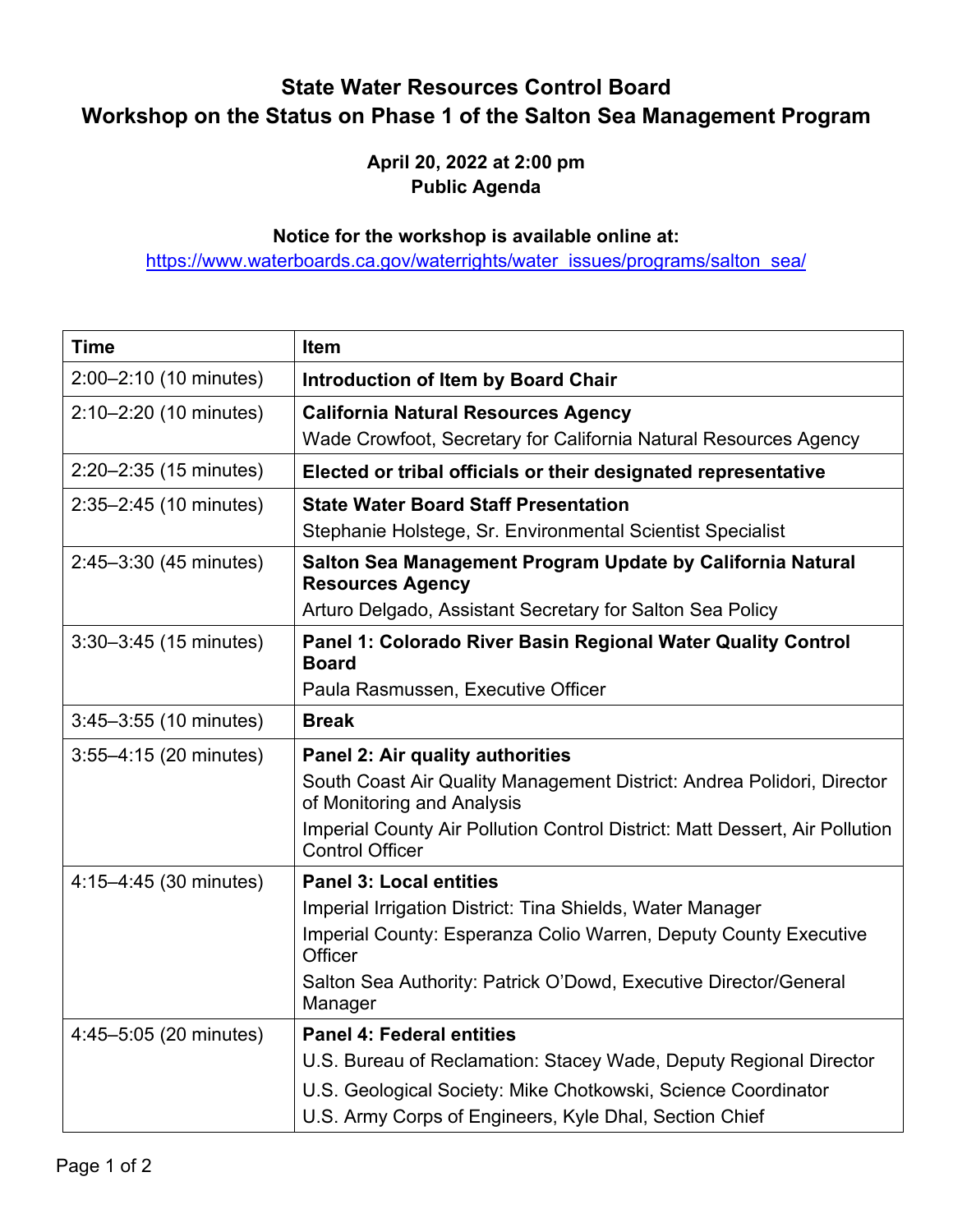## **State Water Resources Control Board Workshop on the Status on Phase 1 of the Salton Sea Management Program**

## **April 20, 2022 at 2:00 pm Public Agenda**

## **Notice for the workshop is available online at:**

[https://www.waterboards.ca.gov/waterrights/water\\_issues/programs/salton\\_sea/](https://www.waterboards.ca.gov/waterrights/water_issues/programs/salton_sea/)

| <b>Time</b>                | Item                                                                                                  |
|----------------------------|-------------------------------------------------------------------------------------------------------|
| 2:00-2:10 (10 minutes)     | <b>Introduction of Item by Board Chair</b>                                                            |
| $2:10-2:20$ (10 minutes)   | <b>California Natural Resources Agency</b>                                                            |
|                            | Wade Crowfoot, Secretary for California Natural Resources Agency                                      |
| $2:20 - 2:35$ (15 minutes) | Elected or tribal officials or their designated representative                                        |
| $2:35 - 2:45$ (10 minutes) | <b>State Water Board Staff Presentation</b>                                                           |
|                            | Stephanie Holstege, Sr. Environmental Scientist Specialist                                            |
| $2:45 - 3:30$ (45 minutes) | Salton Sea Management Program Update by California Natural<br><b>Resources Agency</b>                 |
|                            | Arturo Delgado, Assistant Secretary for Salton Sea Policy                                             |
| $3:30-3:45$ (15 minutes)   | Panel 1: Colorado River Basin Regional Water Quality Control<br><b>Board</b>                          |
|                            | Paula Rasmussen, Executive Officer                                                                    |
| $3:45 - 3:55$ (10 minutes) | <b>Break</b>                                                                                          |
| $3:55 - 4:15$ (20 minutes) | Panel 2: Air quality authorities                                                                      |
|                            | South Coast Air Quality Management District: Andrea Polidori, Director<br>of Monitoring and Analysis  |
|                            | Imperial County Air Pollution Control District: Matt Dessert, Air Pollution<br><b>Control Officer</b> |
| 4:15-4:45 (30 minutes)     | <b>Panel 3: Local entities</b>                                                                        |
|                            | Imperial Irrigation District: Tina Shields, Water Manager                                             |
|                            | Imperial County: Esperanza Colio Warren, Deputy County Executive<br>Officer                           |
|                            | Salton Sea Authority: Patrick O'Dowd, Executive Director/General<br>Manager                           |
| 4:45-5:05 (20 minutes)     | <b>Panel 4: Federal entities</b>                                                                      |
|                            | U.S. Bureau of Reclamation: Stacey Wade, Deputy Regional Director                                     |
|                            | U.S. Geological Society: Mike Chotkowski, Science Coordinator                                         |
|                            | U.S. Army Corps of Engineers, Kyle Dhal, Section Chief                                                |